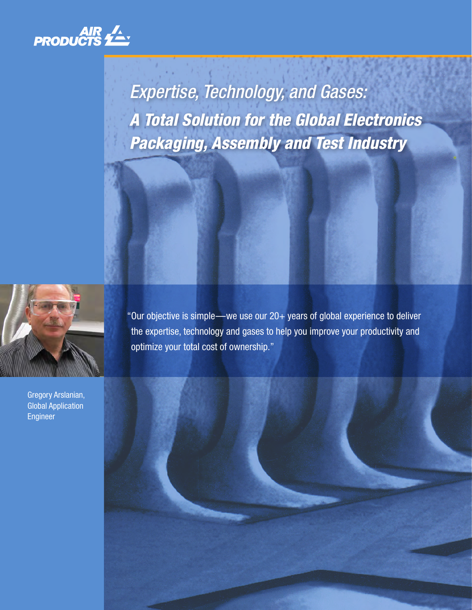

*Expertise, Technology, and Gases: A Total Solution for the Global Electronics Packaging, Assembly and Test Industry*



Gregory Arslanian, Global Application Engineer

 "Our objective is simple—we use our 20+ years of global experience to deliver the expertise, technology and gases to help you improve your productivity and optimize your total cost of ownership."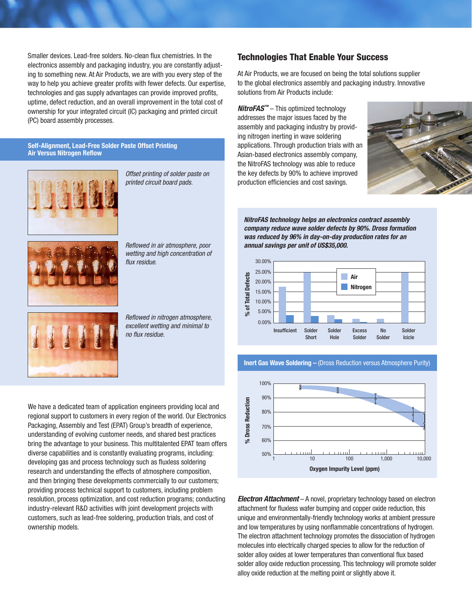Smaller devices. Lead-free solders. No-clean flux chemistries. In the electronics assembly and packaging industry, you are constantly adjusting to something new. At Air Products, we are with you every step of the way to help you achieve greater profits with fewer defects. Our expertise, technologies and gas supply advantages can provide improved profits, uptime, defect reduction, and an overall improvement in the total cost of ownership for your integrated circuit (IC) packaging and printed circuit (PC) board assembly processes.

#### **Self-Alignment, Lead-Free Solder Paste Offset Printing Air Versus Nitrogen Reflow**



*Offset printing of solder paste on printed circuit board pads.*



*Reflowed in air atmosphere, poor wetting and high concentration of flux residue.*

*Reflowed in nitrogen atmosphere, excellent wetting and minimal to no flux residue.*

We have a dedicated team of application engineers providing local and regional support to customers in every region of the world. Our Electronics Packaging, Assembly and Test (EPAT) Group's breadth of experience, understanding of evolving customer needs, and shared best practices bring the advantage to your business. This multitalented EPAT team offers diverse capabilities and is constantly evaluating programs, including: developing gas and process technology such as fluxless soldering research and understanding the effects of atmosphere composition, and then bringing these developments commercially to our customers; providing process technical support to customers, including problem resolution, process optimization, and cost reduction programs; conducting industry-relevant R&D activities with joint development projects with customers, such as lead-free soldering, production trials, and cost of ownership models.

### Technologies That Enable Your Success

At Air Products, we are focused on being the total solutions supplier to the global electronics assembly and packaging industry. Innovative solutions from Air Products include:

*NitroFAS™* – This optimized technology addresses the major issues faced by the assembly and packaging industry by providing nitrogen inerting in wave soldering applications. Through production trials with an Asian-based electronics assembly company, the NitroFAS technology was able to reduce the key defects by 90% to achieve improved production efficiencies and cost savings.



*NitroFAS technology helps an electronics contract assembly company reduce wave solder defects by 90%. Dross formation was reduced by 96% in day-on-day production rates for an annual savings per unit of US\$35,000.*



**Inert Gas Wave Soldering –** (Dross Reduction versus Atmosphere Purity)



*Electron Attachment* – A novel, proprietary technology based on electron attachment for fluxless wafer bumping and copper oxide reduction, this unique and environmentally-friendly technology works at ambient pressure and low temperatures by using nonflammable concentrations of hydrogen. The electron attachment technology promotes the dissociation of hydrogen molecules into electrically charged species to allow for the reduction of solder alloy oxides at lower temperatures than conventional flux based solder alloy oxide reduction processing. This technology will promote solder alloy oxide reduction at the melting point or slightly above it.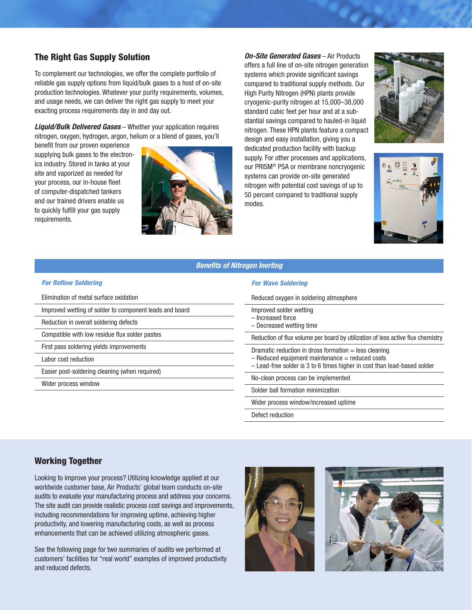## The Right Gas Supply Solution

To complement our technologies, we offer the complete portfolio of reliable gas supply options from liquid/bulk gases to a host of on-site production technologies. Whatever your purity requirements, volumes, and usage needs, we can deliver the right gas supply to meet your exacting process requirements day in and day out.

*Liquid/Bulk Delivered Gases* – Whether your application requires nitrogen, oxygen, hydrogen, argon, helium or a blend of gases, you'll

benefit from our proven experience supplying bulk gases to the electronics industry. Stored in tanks at your site and vaporized as needed for your process, our in-house fleet of computer-dispatched tankers and our trained drivers enable us to quickly fulfill your gas supply requirements.



*On-Site Generated Gases* – Air Products offers a full line of on-site nitrogen generation systems which provide significant savings compared to traditional supply methods. Our High Purity Nitrogen (HPN) plants provide cryogenic-purity nitrogen at 15,000–38,000 standard cubic feet per hour and at a substantial savings compared to hauled-in liquid nitrogen. These HPN plants feature a compact design and easy installation, giving you a dedicated production facility with backup supply. For other processes and applications, our PRISM® PSA or membrane noncryogenic systems can provide on-site generated nitrogen with potential cost savings of up to 50 percent compared to traditional supply modes.





#### *Benefits of Nitrogen Inerting*

#### *For Reflow Soldering*

- Elimination of metal surface oxidation
- Improved wetting of solder to component leads and board
- Reduction in overall soldering defects
- Compatible with low residue flux solder pastes
- First pass soldering yields improvements
- Labor cost reduction

Easier post-soldering cleaning (when required)

Wider process window

#### *For Wave Soldering*

|  | Reduced oxygen in soldering atmosphere                                                                                                                                                     |
|--|--------------------------------------------------------------------------------------------------------------------------------------------------------------------------------------------|
|  | Improved solder wetting<br>- Increased force<br>- Decreased wetting time                                                                                                                   |
|  | Reduction of flux volume per board by utilization of less active flux chemistry                                                                                                            |
|  | Dramatic reduction in dross formation $=$ less cleaning<br>$-$ Reduced equipment maintenance $=$ reduced costs<br>- Lead-free solder is 3 to 6 times higher in cost than lead-based solder |
|  | No-clean process can be implemented                                                                                                                                                        |
|  | Solder ball formation minimization                                                                                                                                                         |
|  | Wider process window/increased uptime                                                                                                                                                      |
|  | Dofaat raduation                                                                                                                                                                           |

Defect reduction

## Working Together

Looking to improve your process? Utilizing knowledge applied at our worldwide customer base, Air Products' global team conducts on-site audits to evaluate your manufacturing process and address your concerns. The site audit can provide realistic process cost savings and improvements, including recommendations for improving uptime, achieving higher productivity, and lowering manufacturing costs, as well as process enhancements that can be achieved utilizing atmospheric gases.

See the following page for two summaries of audits we performed at customers' facilities for "real world" examples of improved productivity and reduced defects.